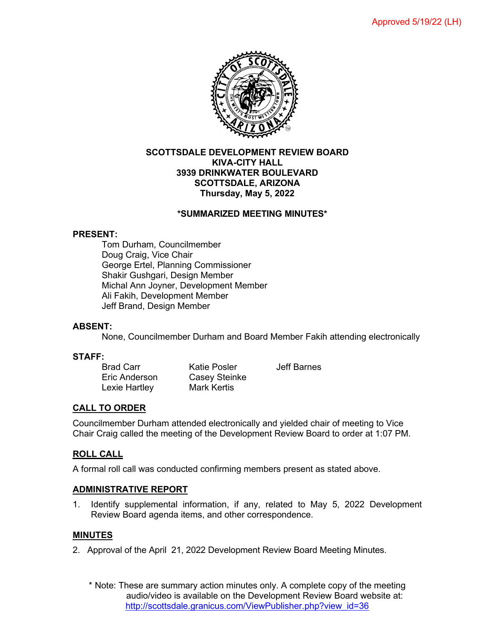

### **SCOTTSDALE DEVELOPMENT REVIEW BOARD KIVA-CITY HALL 3939 DRINKWATER BOULEVARD SCOTTSDALE, ARIZONA Thursday, May 5, 2022**

#### **\*SUMMARIZED MEETING MINUTES\***

#### **PRESENT:**

Tom Durham, Councilmember Doug Craig, Vice Chair George Ertel, Planning Commissioner Shakir Gushgari, Design Member Michal Ann Joyner, Development Member Ali Fakih, Development Member Jeff Brand, Design Member

### **ABSENT:**

None, Councilmember Durham and Board Member Fakih attending electronically

### **STAFF:**

Lexie Hartley

Brad Carr Katie Posler Jeff Barnes Eric Anderson Casey Steinke<br>Lexie Hartley Mark Kertis

#### **CALL TO ORDER**

Councilmember Durham attended electronically and yielded chair of meeting to Vice Chair Craig called the meeting of the Development Review Board to order at 1:07 PM.

### **ROLL CALL**

A formal roll call was conducted confirming members present as stated above.

#### **ADMINISTRATIVE REPORT**

1. Identify supplemental information, if any, related to May 5, 2022 Development Review Board agenda items, and other correspondence.

#### **MINUTES**

- 2. Approval of the April 21, 2022 Development Review Board Meeting Minutes.
	- \* Note: These are summary action minutes only. A complete copy of the meeting audio/video is available on the Development Review Board website at: [http://scottsdale.granicus.com/ViewPublisher.php?view\\_id=36](http://scottsdale.granicus.com/ViewPublisher.php?view_id=36)